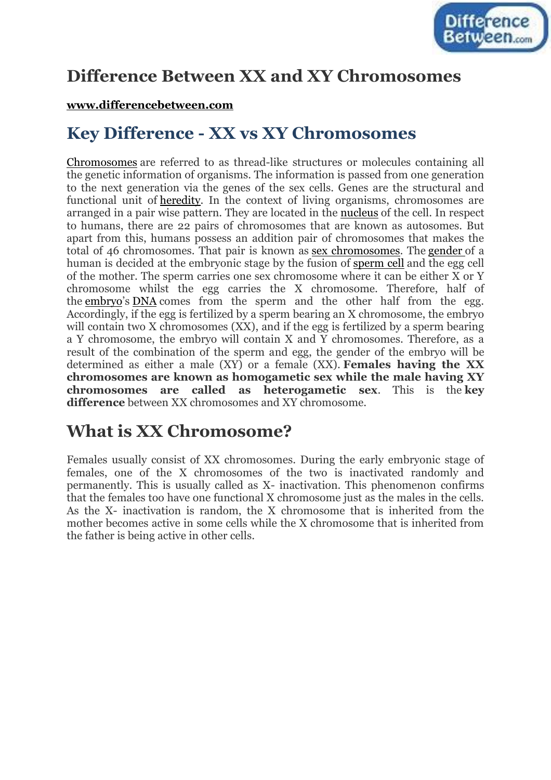

# **Difference Between XX and XY Chromosomes**

### **[www.differencebetween.com](http://www.differencebetween.com/)**

# **Key Difference - XX vs XY Chromosomes**

[Chromosomes](http://www.differencebetween.com/difference-between-chromatin-and-vs-chromosomes/) are referred to as thread-like structures or molecules containing all the genetic information of organisms. The information is passed from one generation to the next generation via the genes of the sex cells. Genes are the structural and functional unit of [heredity.](http://www.differencebetween.com/difference-between-genetics-and-vs-heredity/) In the context of living organisms, chromosomes are arranged in a pair wise pattern. They are located in the [nucleus](http://www.differencebetween.com/difference-between-nucleus-and-vs-nucleoid/) of the cell. In respect to humans, there are 22 pairs of chromosomes that are known as autosomes. But apart from this, humans possess an addition pair of chromosomes that makes the total of 46 chromosomes. That pair is known as [sex chromosomes.](http://www.differencebetween.com/difference-between-autosomes-and-vs-sex-chromosomes/) The [gender](http://www.differencebetween.com/difference-between-gender-and-vs-gender-identity/) of a human is decided at the embryonic stage by the fusion of [sperm cell](http://www.differencebetween.com/difference-between-sperm-and-vs-egg/) and the egg cell of the mother. The sperm carries one sex chromosome where it can be either X or Y chromosome whilst the egg carries the X chromosome. Therefore, half of the [embryo](http://www.differencebetween.com/difference-between-embryo-and-vs-zygote/)'s [DNA](http://www.differencebetween.com/difference-between-dna-and-vs-dnase/#cd) comes from the sperm and the other half from the egg. Accordingly, if the egg is fertilized by a sperm bearing an X chromosome, the embryo will contain two X chromosomes (XX), and if the egg is fertilized by a sperm bearing a Y chromosome, the embryo will contain X and Y chromosomes. Therefore, as a result of the combination of the sperm and egg, the gender of the embryo will be determined as either a male (XY) or a female (XX). **Females having the XX chromosomes are known as homogametic sex while the male having XY chromosomes are called as heterogametic sex**. This is the **key difference** between XX chromosomes and XY chromosome.

# **What is XX Chromosome?**

Females usually consist of XX chromosomes. During the early embryonic stage of females, one of the X chromosomes of the two is inactivated randomly and permanently. This is usually called as X- inactivation. This phenomenon confirms that the females too have one functional X chromosome just as the males in the cells. As the X- inactivation is random, the X chromosome that is inherited from the mother becomes active in some cells while the X chromosome that is inherited from the father is being active in other cells.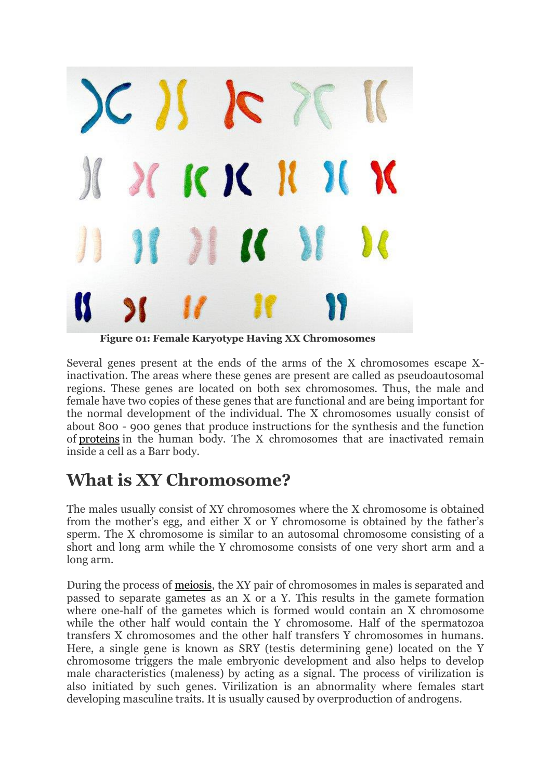

**Figure 01: Female Karyotype Having XX Chromosomes**

Several genes present at the ends of the arms of the X chromosomes escape Xinactivation. The areas where these genes are present are called as pseudoautosomal regions. These genes are located on both sex chromosomes. Thus, the male and female have two copies of these genes that are functional and are being important for the normal development of the individual. The X chromosomes usually consist of about 800 - 900 genes that produce instructions for the synthesis and the function of [proteins](http://www.differencebetween.com/difference-between-gene-and-vs-protein/) in the human body. The X chromosomes that are inactivated remain inside a cell as a Barr body.

# **What is XY Chromosome?**

The males usually consist of XY chromosomes where the X chromosome is obtained from the mother's egg, and either X or Y chromosome is obtained by the father's sperm. The X chromosome is similar to an autosomal chromosome consisting of a short and long arm while the Y chromosome consists of one very short arm and a long arm.

During the process of [meiosis,](http://www.differencebetween.com/difference-between-mitosis-and-meiosis/) the XY pair of chromosomes in males is separated and passed to separate gametes as an X or a Y. This results in the gamete formation where one-half of the gametes which is formed would contain an X chromosome while the other half would contain the Y chromosome. Half of the spermatozoa transfers X chromosomes and the other half transfers Y chromosomes in humans. Here, a single gene is known as SRY (testis determining gene) located on the Y chromosome triggers the male embryonic development and also helps to develop male characteristics (maleness) by acting as a signal. The process of virilization is also initiated by such genes. Virilization is an abnormality where females start developing masculine traits. It is usually caused by overproduction of androgens.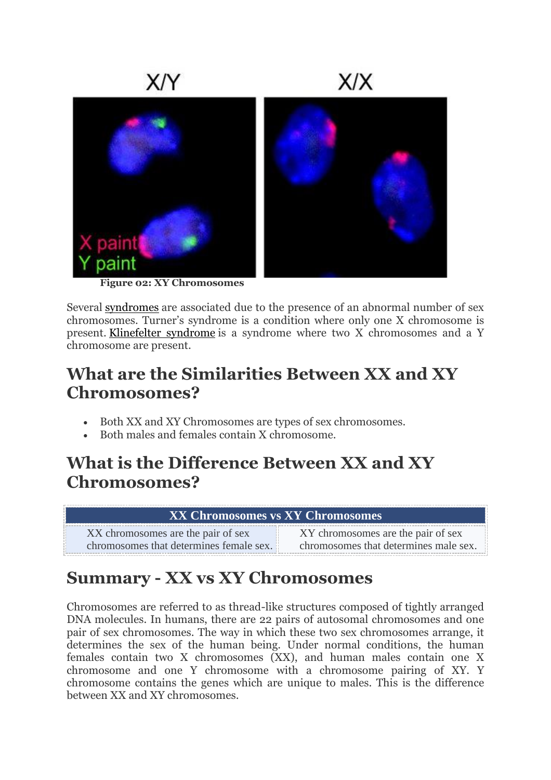

**Figure 02: XY Chromosomes**

Several [syndromes](http://www.differencebetween.com/difference-between-syndrome-and-vs-disease/) are associated due to the presence of an abnormal number of sex chromosomes. Turner's syndrome is a condition where only one X chromosome is present. [Klinefelter syndrome](http://www.differencebetween.com/difference-between-klinefelter-and-vs-turner-syndrome/#Klinefelter Syndrome) is a syndrome where two X chromosomes and a Y chromosome are present.

# **What are the Similarities Between XX and XY Chromosomes?**

- Both XX and XY Chromosomes are types of sex chromosomes.
- Both males and females contain X chromosome.

# **What is the Difference Between XX and XY Chromosomes?**

| <b>XX Chromosomes vs XY Chromosomes</b> |                                       |
|-----------------------------------------|---------------------------------------|
| XX chromosomes are the pair of sex      | XY chromosomes are the pair of sex    |
| chromosomes that determines female sex. | chromosomes that determines male sex. |

# **Summary - XX vs XY Chromosomes**

Chromosomes are referred to as thread-like structures composed of tightly arranged DNA molecules. In humans, there are 22 pairs of autosomal chromosomes and one pair of sex chromosomes. The way in which these two sex chromosomes arrange, it determines the sex of the human being. Under normal conditions, the human females contain two X chromosomes (XX), and human males contain one X chromosome and one Y chromosome with a chromosome pairing of XY. Y chromosome contains the genes which are unique to males. This is the difference between XX and XY chromosomes.